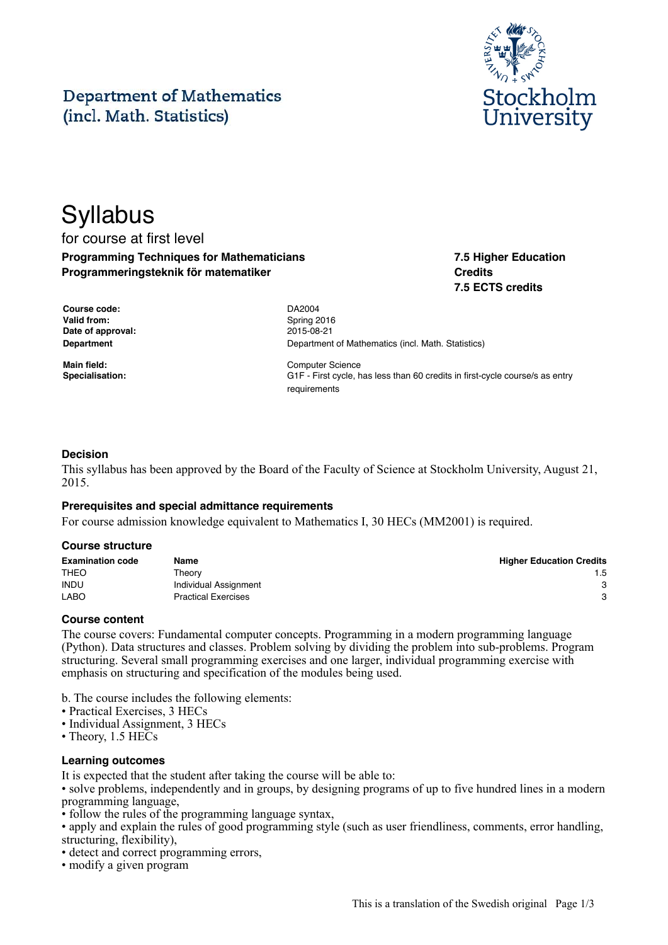# **Department of Mathematics** (incl. Math. Statistics)



## **Syllabus** for course at first level **Programming Techniques for Mathematicians Programmeringsteknik för matematiker**

**7.5 Higher Education Credits 7.5 ECTS credits**

| Course code:      |  |  |  |
|-------------------|--|--|--|
| Valid from:       |  |  |  |
| Date of approval: |  |  |  |
| Department        |  |  |  |

**Course code:** DA2004 **Valid from:** Spring 2016 **Date of approval:** 2015-08-21 **Department of Mathematics (incl. Math. Statistics)** 

**Main field:** Computer Science **Specialisation:** G1F - First cycle, has less than 60 credits in first-cycle course/s as entry requirements

#### **Decision**

This syllabus has been approved by the Board of the Faculty of Science at Stockholm University, August 21, 2015.

#### **Prerequisites and special admittance requirements**

For course admission knowledge equivalent to Mathematics I, 30 HECs (MM2001) is required.

#### **Course structure**

| <b>Examination code</b> | Name                       | <b>Higher Education Credits</b> |
|-------------------------|----------------------------|---------------------------------|
| <b>THEO</b>             | Theorv                     | 1.5                             |
| <b>INDU</b>             | Individual Assignment      | 3                               |
| <b>LABO</b>             | <b>Practical Exercises</b> | 3                               |

#### **Course content**

The course covers: Fundamental computer concepts. Programming in a modern programming language (Python). Data structures and classes. Problem solving by dividing the problem into sub-problems. Program structuring. Several small programming exercises and one larger, individual programming exercise with emphasis on structuring and specification of the modules being used.

b. The course includes the following elements:

- Practical Exercises, 3 HECs
- Individual Assignment, 3 HECs
- Theory, 1.5 HECs

#### **Learning outcomes**

It is expected that the student after taking the course will be able to:

• solve problems, independently and in groups, by designing programs of up to five hundred lines in a modern programming language,

• follow the rules of the programming language syntax,

• apply and explain the rules of good programming style (such as user friendliness, comments, error handling, structuring, flexibility),

- detect and correct programming errors,
- modify a given program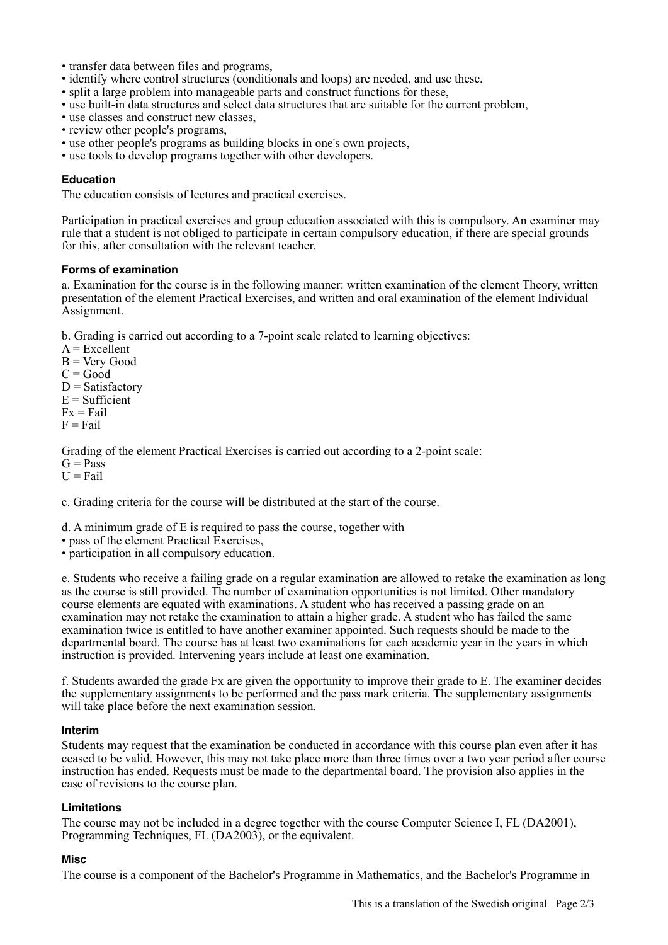- transfer data between files and programs,
- identify where control structures (conditionals and loops) are needed, and use these,
- split a large problem into manageable parts and construct functions for these,
- use built-in data structures and select data structures that are suitable for the current problem,
- use classes and construct new classes,
- review other people's programs,
- use other people's programs as building blocks in one's own projects,
- use tools to develop programs together with other developers.

#### **Education**

The education consists of lectures and practical exercises.

Participation in practical exercises and group education associated with this is compulsory. An examiner may rule that a student is not obliged to participate in certain compulsory education, if there are special grounds for this, after consultation with the relevant teacher.

#### **Forms of examination**

a. Examination for the course is in the following manner: written examination of the element Theory, written presentation of the element Practical Exercises, and written and oral examination of the element Individual Assignment.

b. Grading is carried out according to a 7-point scale related to learning objectives:

- $A = Excelient$
- $B = V$ ery Good
- $C = Good$
- $D = Satisfactory$
- $E = Sufficient$
- $Fx = Fail$
- $F =$ Fail

Grading of the element Practical Exercises is carried out according to a 2-point scale:  $G = Pass$ 

 $U = Fail$ 

c. Grading criteria for the course will be distributed at the start of the course.

d. A minimum grade of E is required to pass the course, together with

- pass of the element Practical Exercises,
- participation in all compulsory education.

e. Students who receive a failing grade on a regular examination are allowed to retake the examination as long as the course is still provided. The number of examination opportunities is not limited. Other mandatory course elements are equated with examinations. A student who has received a passing grade on an examination may not retake the examination to attain a higher grade. A student who has failed the same examination twice is entitled to have another examiner appointed. Such requests should be made to the departmental board. The course has at least two examinations for each academic year in the years in which instruction is provided. Intervening years include at least one examination.

f. Students awarded the grade Fx are given the opportunity to improve their grade to E. The examiner decides the supplementary assignments to be performed and the pass mark criteria. The supplementary assignments will take place before the next examination session.

#### **Interim**

Students may request that the examination be conducted in accordance with this course plan even after it has ceased to be valid. However, this may not take place more than three times over a two year period after course instruction has ended. Requests must be made to the departmental board. The provision also applies in the case of revisions to the course plan.

#### **Limitations**

The course may not be included in a degree together with the course Computer Science I, FL (DA2001), Programming Techniques, FL (DA2003), or the equivalent.

#### **Misc**

The course is a component of the Bachelor's Programme in Mathematics, and the Bachelor's Programme in